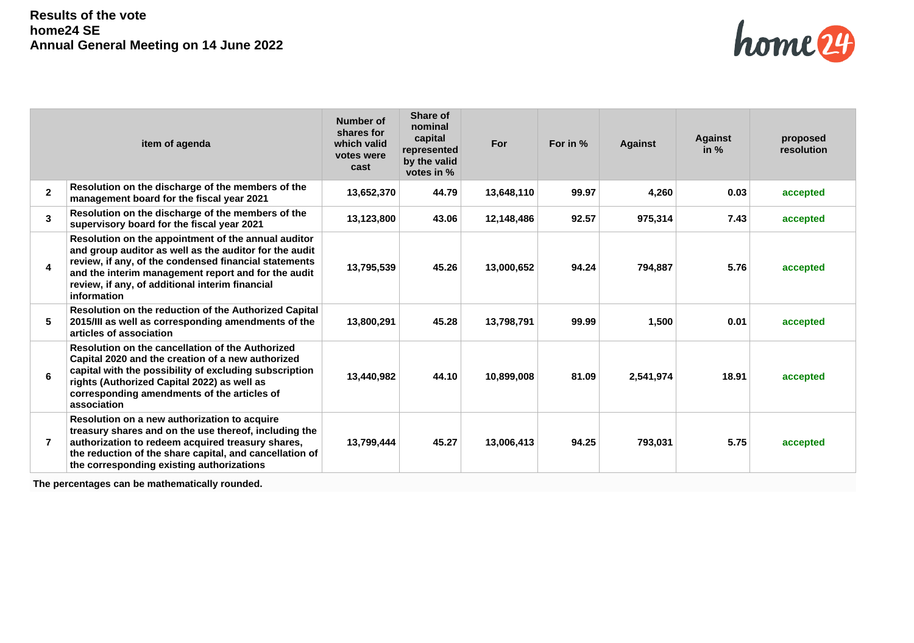

|              | item of agenda                                                                                                                                                                                                                                                                                  | <b>Number of</b><br>shares for<br>which valid<br>votes were<br>cast | Share of<br>nominal<br>capital<br>represented<br>by the valid<br>votes in % | For        | For in % | <b>Against</b> | <b>Against</b><br>in $%$ | proposed<br>resolution |
|--------------|-------------------------------------------------------------------------------------------------------------------------------------------------------------------------------------------------------------------------------------------------------------------------------------------------|---------------------------------------------------------------------|-----------------------------------------------------------------------------|------------|----------|----------------|--------------------------|------------------------|
| $\mathbf{2}$ | Resolution on the discharge of the members of the<br>management board for the fiscal year 2021                                                                                                                                                                                                  | 13,652,370                                                          | 44.79                                                                       | 13,648,110 | 99.97    | 4,260          | 0.03                     | accepted               |
| 3            | Resolution on the discharge of the members of the<br>supervisory board for the fiscal year 2021                                                                                                                                                                                                 | 13,123,800                                                          | 43.06                                                                       | 12,148,486 | 92.57    | 975,314        | 7.43                     | accepted               |
| 4            | Resolution on the appointment of the annual auditor<br>and group auditor as well as the auditor for the audit<br>review, if any, of the condensed financial statements<br>and the interim management report and for the audit<br>review, if any, of additional interim financial<br>information | 13,795,539                                                          | 45.26                                                                       | 13,000,652 | 94.24    | 794,887        | 5.76                     | accepted               |
| 5            | Resolution on the reduction of the Authorized Capital<br>2015/III as well as corresponding amendments of the<br>articles of association                                                                                                                                                         | 13,800,291                                                          | 45.28                                                                       | 13,798,791 | 99.99    | 1,500          | 0.01                     | accepted               |
| 6            | Resolution on the cancellation of the Authorized<br>Capital 2020 and the creation of a new authorized<br>capital with the possibility of excluding subscription<br>rights (Authorized Capital 2022) as well as<br>corresponding amendments of the articles of<br>association                    | 13.440.982                                                          | 44.10                                                                       | 10.899.008 | 81.09    | 2,541,974      | 18.91                    | accepted               |
|              | Resolution on a new authorization to acquire<br>treasury shares and on the use thereof, including the<br>authorization to redeem acquired treasury shares,<br>the reduction of the share capital, and cancellation of<br>the corresponding existing authorizations                              | 13,799,444                                                          | 45.27                                                                       | 13,006,413 | 94.25    | 793,031        | 5.75                     | accepted               |

**The percentages can be mathematically rounded.**